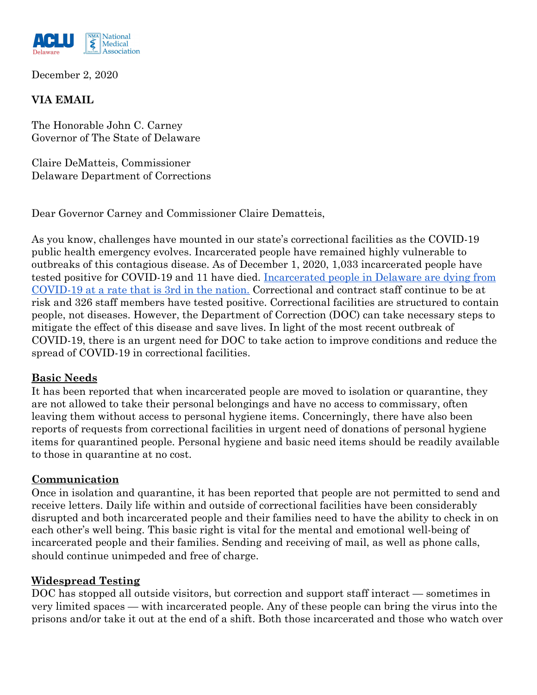

December 2, 2020

# **VIA EMAIL**

The Honorable John C. Carney Governor of The State of Delaware

Claire DeMatteis, Commissioner Delaware Department of Corrections

Dear Governor Carney and Commissioner Claire Dematteis,

As you know, challenges have mounted in our state's correctional facilities as the COVID-19 public health emergency evolves. Incarcerated people have remained highly vulnerable to outbreaks of this contagious disease. As of December 1, 2020, 1,033 incarcerated people have tested positive for COVID-19 and 11 have died. [Incarcerated people in Delaware are dying from](https://www.themarshallproject.org/2020/05/01/a-state-by-state-look-at-coronavirus-in-prisons) [COVID-19 at a rate that is 3rd in the nation.](https://www.themarshallproject.org/2020/05/01/a-state-by-state-look-at-coronavirus-in-prisons) Correctional and contract staff continue to be at risk and 326 staff members have tested positive. Correctional facilities are structured to contain people, not diseases. However, the Department of Correction (DOC) can take necessary steps to mitigate the effect of this disease and save lives. In light of the most recent outbreak of COVID-19, there is an urgent need for DOC to take action to improve conditions and reduce the spread of COVID-19 in correctional facilities.

## **Basic Needs**

It has been reported that when incarcerated people are moved to isolation or quarantine, they are not allowed to take their personal belongings and have no access to commissary, often leaving them without access to personal hygiene items. Concerningly, there have also been reports of requests from correctional facilities in urgent need of donations of personal hygiene items for quarantined people. Personal hygiene and basic need items should be readily available to those in quarantine at no cost.

## **Communication**

Once in isolation and quarantine, it has been reported that people are not permitted to send and receive letters. Daily life within and outside of correctional facilities have been considerably disrupted and both incarcerated people and their families need to have the ability to check in on each other's well being. This basic right is vital for the mental and emotional well-being of incarcerated people and their families. Sending and receiving of mail, as well as phone calls, should continue unimpeded and free of charge.

## **Widespread Testing**

DOC has stopped all outside visitors, but correction and support staff interact — sometimes in very limited spaces — with incarcerated people. Any of these people can bring the virus into the prisons and/or take it out at the end of a shift. Both those incarcerated and those who watch over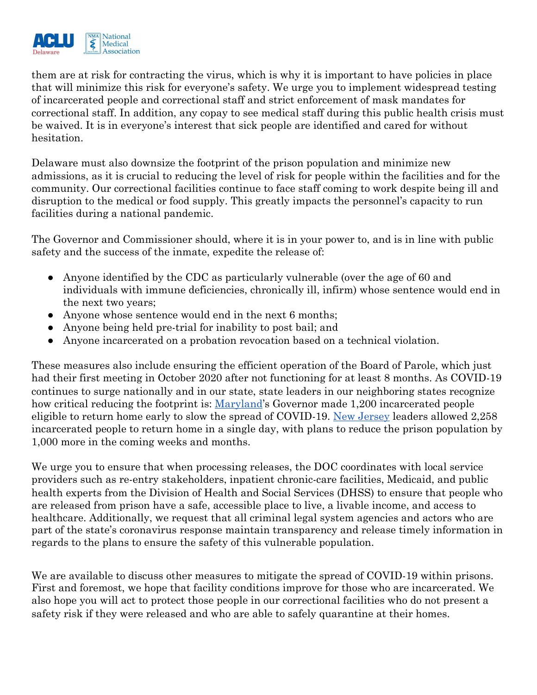

them are at risk for contracting the virus, which is why it is important to have policies in place that will minimize this risk for everyone's safety. We urge you to implement widespread testing of incarcerated people and correctional staff and strict enforcement of mask mandates for correctional staff. In addition, any copay to see medical staff during this public health crisis must be waived. It is in everyone's interest that sick people are identified and cared for without hesitation.

Delaware must also downsize the footprint of the prison population and minimize new admissions, as it is crucial to reducing the level of risk for people within the facilities and for the community. Our correctional facilities continue to face staff coming to work despite being ill and disruption to the medical or food supply. This greatly impacts the personnel's capacity to run facilities during a national pandemic.

The Governor and Commissioner should, where it is in your power to, and is in line with public safety and the success of the inmate, expedite the release of:

- Anyone identified by the CDC as particularly vulnerable (over the age of 60 and individuals with immune deficiencies, chronically ill, infirm) whose sentence would end in the next two years;
- Anyone whose sentence would end in the next 6 months;
- Anyone being held pre-trial for inability to post bail; and
- Anyone incarcerated on a probation revocation based on a technical violation.

These measures also include ensuring the efficient operation of the Board of Parole, which just had their first meeting in October 2020 after not functioning for at least 8 months. As COVID-19 continues to surge nationally and in our state, state leaders in our neighboring states recognize how critical reducing the footprint is: [Maryland](https://www.npr.org/sections/coronavirus-live-updates/2020/11/19/936656264/maryland-governor-orders-early-release-of-inmates-to-stem-spread-of-coronavirus)'s Governor made 1,200 incarcerated people eligible to return home early to slow the spread of COVID-19. [New Jersey](https://www.nytimes.com/2020/11/04/nyregion/nj-prisoner-release-covid.html) leaders allowed 2,258 incarcerated people to return home in a single day, with plans to reduce the prison population by 1,000 more in the coming weeks and months.

We urge you to ensure that when processing releases, the DOC coordinates with local service providers such as re-entry stakeholders, inpatient chronic-care facilities, Medicaid, and public health experts from the Division of Health and Social Services (DHSS) to ensure that people who are released from prison have a safe, accessible place to live, a livable income, and access to healthcare. Additionally, we request that all criminal legal system agencies and actors who are part of the state's coronavirus response maintain transparency and release timely information in regards to the plans to ensure the safety of this vulnerable population.

We are available to discuss other measures to mitigate the spread of COVID-19 within prisons. First and foremost, we hope that facility conditions improve for those who are incarcerated. We also hope you will act to protect those people in our correctional facilities who do not present a safety risk if they were released and who are able to safely quarantine at their homes.